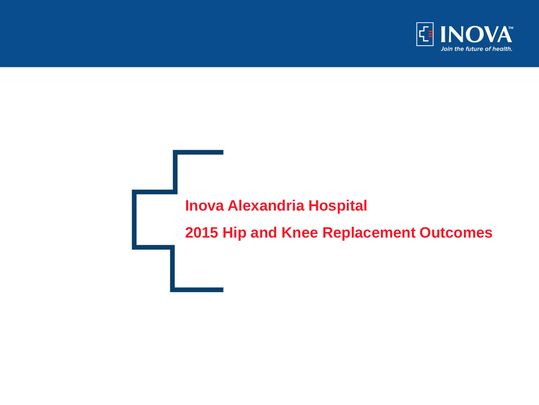

## **Inova Alexandria Hospital**

**2015 Hip and Knee Replacement Outcomes**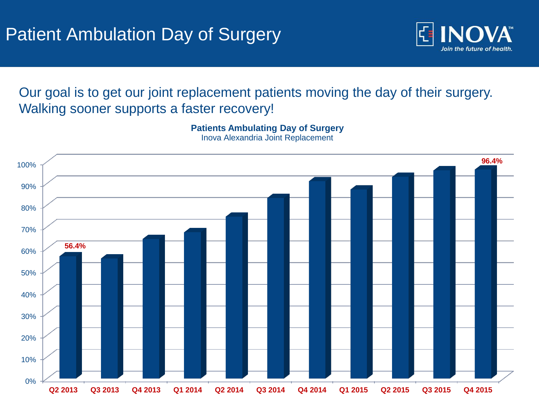

Our goal is to get our joint replacement patients moving the day of their surgery. Walking sooner supports a faster recovery!

**Patients Ambulating Day of Surgery**



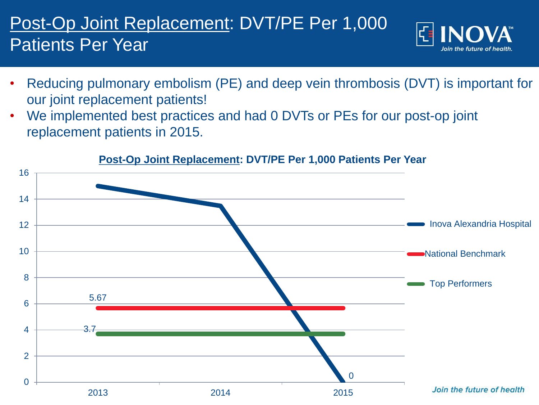## Post-Op Joint Replacement: DVT/PE Per 1,000 Patients Per Year



- Reducing pulmonary embolism (PE) and deep vein thrombosis (DVT) is important for our joint replacement patients!
- We implemented best practices and had 0 DVTs or PEs for our post-op joint replacement patients in 2015.



## **Post-Op Joint Replacement: DVT/PE Per 1,000 Patients Per Year**